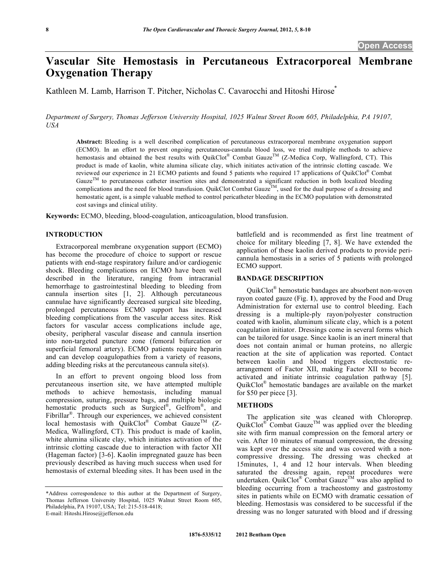# **Vascular Site Hemostasis in Percutaneous Extracorporeal Membrane Oxygenation Therapy**

Kathleen M. Lamb, Harrison T. Pitcher, Nicholas C. Cavarocchi and Hitoshi Hirose<sup>\*</sup>

*Department of Surgery, Thomas Jefferson University Hospital, 1025 Walnut Street Room 605, Philadelphia, PA 19107, USA* 

**Abstract:** Bleeding is a well described complication of percutaneous extracorporeal membrane oxygenation support (ECMO). In an effort to prevent ongoing percutaneous-cannula blood loss, we tried multiple methods to achieve hemostasis and obtained the best results with QuikClot® Combat Gauze<sup>TM</sup> (Z-Medica Corp, Wallingford, CT). This product is made of kaolin, white alumina silicate clay, which initiates activation of the intrinsic clotting cascade. We reviewed our experience in 21 ECMO patients and found 5 patients who required 17 applications of QuikClot® Combat Gauze<sup>TM</sup> to percutaneous catheter insertion sites and demonstrated a significant reduction in both localized bleeding complications and the need for blood transfusion. QuikClot Combat Gauze<sup>TM</sup>, used for the dual purpose of a dressing and complications and the need for blood transfusion. QuikClot Combat Gauze<sup>TM</sup>, used for the dual purpos hemostatic agent, is a simple valuable method to control pericatheter bleeding in the ECMO population with demonstrated cost savings and clinical utility.

**Keywords:** ECMO, bleeding, blood-coagulation, anticoagulation, blood transfusion.

#### **INTRODUCTION**

 Extracorporeal membrane oxygenation support (ECMO) has become the procedure of choice to support or rescue patients with end-stage respiratory failure and/or cardiogenic shock. Bleeding complications on ECMO have been well described in the literature, ranging from intracranial hemorrhage to gastrointestinal bleeding to bleeding from cannula insertion sites [1, 2]. Although percutaneous cannulae have significantly decreased surgical site bleeding, prolonged percutaneous ECMO support has increased bleeding complications from the vascular access sites. Risk factors for vascular access complications include age, obesity, peripheral vascular disease and cannula insertion into non-targeted puncture zone (femoral bifurcation or superficial femoral artery). ECMO patients require heparin and can develop coagulopathies from a variety of reasons, adding bleeding risks at the percutaneous cannula site(s).

 In an effort to prevent ongoing blood loss from percutaneous insertion site, we have attempted multiple methods to achieve hemostasis, including manual compression, suturing, pressure bags, and multiple biologic hemostatic products such as Surgicel<sup>®</sup>, Gelfrom<sup>®</sup>, and Fibrillar<sup>®</sup>. Through our experiences, we achieved consistent local hemostasis with QuikClot® Combat Gauze<sup>TM</sup> (Z-Medica, Wallingford, CT). This product is made of kaolin, white alumina silicate clay, which initiates activation of the intrinsic clotting cascade due to interaction with factor XII (Hageman factor) [3-6]. Kaolin impregnated gauze has been previously described as having much success when used for hemostasis of external bleeding sites. It has been used in the

battlefield and is recommended as first line treatment of choice for military bleeding [7, 8]. We have extended the application of these kaolin derived products to provide pericannula hemostasis in a series of 5 patients with prolonged ECMO support.

## **BANDAGE DESCRIPTION**

 QuikClot® hemostatic bandages are absorbent non-woven rayon coated gauze (Fig. **1**), approved by the Food and Drug Administration for external use to control bleeding. Each dressing is a multiple-ply rayon/polyester construction coated with kaolin, aluminum silicate clay, which is a potent coagulation initiator. Dressings come in several forms which can be tailored for usage. Since kaolin is an inert mineral that does not contain animal or human proteins, no allergic reaction at the site of application was reported. Contact between kaolin and blood triggers electrostatic rearrangement of Factor XII, making Factor XII to become activated and initiate intrinsic coagulation pathway [5]. QuikClot® hemostatic bandages are available on the market for \$50 per piece [3].

# **METHODS**

 The application site was cleaned with Chloroprep. QuikClot<sup>®</sup> Combat Gauze<sup>TM</sup> was applied over the bleeding site with firm manual compression on the femoral artery or vein. After 10 minutes of manual compression, the dressing was kept over the access site and was covered with a noncompressive dressing. The dressing was checked at 15minutes, 1, 4 and 12 hour intervals. When bleeding saturated the dressing again, repeat procedures were undertaken. QuikClot<sup>®</sup> Combat Gauze<sup>TM</sup> was also applied to bleeding occurring from a tracheostomy and gastrostomy sites in patients while on ECMO with dramatic cessation of bleeding. Hemostasis was considered to be successful if the dressing was no longer saturated with blood and if dressing

<sup>\*</sup>Address correspondence to this author at the Department of Surgery, Thomas Jefferson University Hospital, 1025 Walnut Street Room 605, Philadelphia, PA 19107, USA; Tel: 215-518-4418; E-mail: Hitoshi.Hirose@jefferson.edu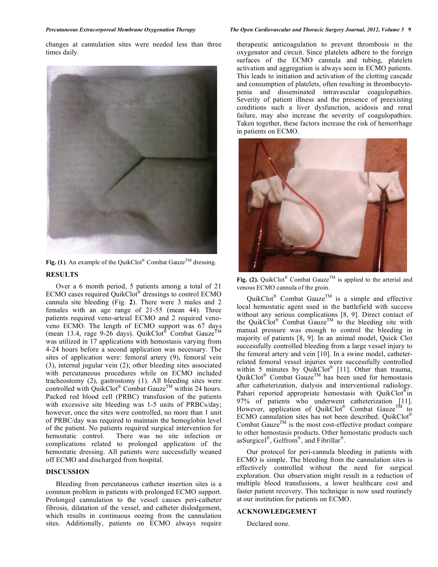changes at cannulation sites were needed less than three times daily.



**Fig. (1)**. An example of the QuikClot<sup>®</sup> Combat Gauze<sup>TM</sup> dressing. **RESULTS** 

 Over a 6 month period, 5 patients among a total of 21 ECMO cases required QuikClot® dressings to control ECMO cannula site bleeding (Fig. **2**). There were 3 males and 2 females with an age range of 21-55 (mean 44). Three patients required veno-arteial ECMO and 2 required venoveno ECMO. The length of ECMO support was 67 days (mean 13.4, rage 9-26 days). QuikClot<sup>®</sup> Combat Gauze<sup>TM</sup> was utilized in 17 applications with hemostasis varying from 4-24 hours before a second application was necessary. The sites of application were: femoral artery (9), femoral vein (3), internal jugular vein (2); other bleeding sites associated with percutaneous procedures while on ECMO included tracheostomy (2), gastrostomy (1). All bleeding sites were controlled with QuikClot® Combat Gauze<sup>TM</sup> within 24 hours. Packed red blood cell (PRBC) transfusion of the patients with excessive site bleeding was 1-5 units of PRBCs/day; however, once the sites were controlled, no more than 1 unit of PRBC/day was required to maintain the hemoglobin level of the patient. No patients required surgical intervention for hemostatic control. There was no site infection or complications related to prolonged application of the hemostatic dressing. All patients were successfully weaned off ECMO and discharged from hospital.

## **DISCUSSION**

 Bleeding from percutaneous catheter insertion sites is a common problem in patients with prolonged ECMO support. Prolonged cannulation to the vessel causes peri-catheter fibrosis, dilatation of the vessel, and catheter dislodgement, which results in continuous oozing from the cannulation sites. Additionally, patients on ECMO always require

#### *Percutaneous Extracorporeal Membrane Oxygenation Therapy The Open Cardiovascular and Thoracic Surgery Journal, 2012, Volume 5* **9**

therapeutic anticoagulation to prevent thrombosis in the oxygenator and circuit. Since platelets adhere to the foreign surfaces of the ECMO cannula and tubing, platelets activation and aggregation is always seen in ECMO patients. This leads to initiation and activation of the clotting cascade and consumption of platelets, often resulting in thrombocytopenia and disseminated intravascular coagulopathies. Severity of patient illness and the presence of preexisting conditions such a liver dysfunction, acidosis and renal failure, may also increase the severity of coagulopathies. Taken together, these factors increase the risk of hemorrhage in patients on ECMO.



**Fig. (2).** QuikClot<sup>®</sup> Combat Gauze<sup>™</sup> is applied to the arterial and venous ECMO cannula of the groin.

QuikClot<sup>®</sup> Combat Gauze<sup>TM</sup> is a simple and effective local hemostatic agent used in the battlefield with success without any serious complications [8, 9]. Direct contact of the QuikClot<sup>®</sup> Combat Gauze<sup>TM</sup> to the bleeding site with manual pressure was enough to control the bleeding in majority of patients [8, 9]. In an animal model, Quick Clot successfully controlled bleeding from a large vessel injury to the femoral artery and vein [10]. In a swine model, catheterrelated femoral vessel injuries were successfully controlled within 5 minutes by QuikClot<sup>®</sup> [11]. Other than trauma, QuikClot<sup>®</sup> Combat Gauze<sup>TM</sup> has been used for hemostasis after catheterization, dialysis and interventional radiology. Pahari reported appropriate hemostasis with QuikClot<sup>®</sup>in 97% of patients who underwent catheterization [11]. However, application of QuikClot® Combat Gauze<sup>TM</sup> to ECMO cannulation sites has not been described. QuikClot® Combat Gauze<sup>TM</sup> is the most cost-effective product compare to other hemostasis products. Other hemostatic products such asSurgicel®, Gelfrom®, and Fibrillar®.

 Our protocol for peri-cannula bleeding in patients with ECMO is simple. The bleeding from the cannulation sites is effectively controlled without the need for surgical exploration. Our observation might result in a reduction of multiple blood transfusions, a lower healthcare cost and faster patient recovery. This technique is now used routinely at our institution for patients on ECMO.

# **ACKNOWLEDGEMENT**

Declared none.